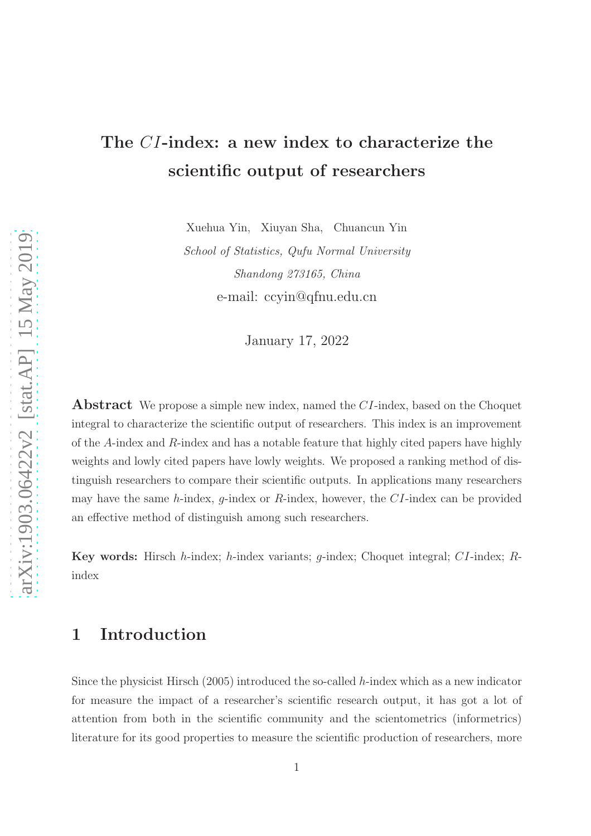# The CI-index: a new index to characterize the scientific output of researchers

Xuehua Yin, Xiuyan Sha, Chuancun Yin

*School of Statistics, Qufu Normal University Shandong 273165, China* e-mail: ccyin@qfnu.edu.cn

January 17, 2022

**Abstract** We propose a simple new index, named the CI-index, based on the Choquet integral to characterize the scientific output of researchers. This index is an improvement of the A-index and R-index and has a notable feature that highly cited papers have highly weights and lowly cited papers have lowly weights. We proposed a ranking method of distinguish researchers to compare their scientific outputs. In applications many researchers may have the same  $h$ -index,  $g$ -index or  $R$ -index, however, the  $CI$ -index can be provided an effective method of distinguish among such researchers.

**Key words:** Hirsch h-index; h-index variants; g-index; Choquet integral;  $CI$ -index;  $R$ index

## 1 Introduction

Since the physicist Hirsch (2005) introduced the so-called  $h$ -index which as a new indicator for measure the impact of a researcher's scientific research output, it has got a lot of attention from both in the scientific community and the scientometrics (informetrics) literature for its good properties to measure the scientific production of researchers, more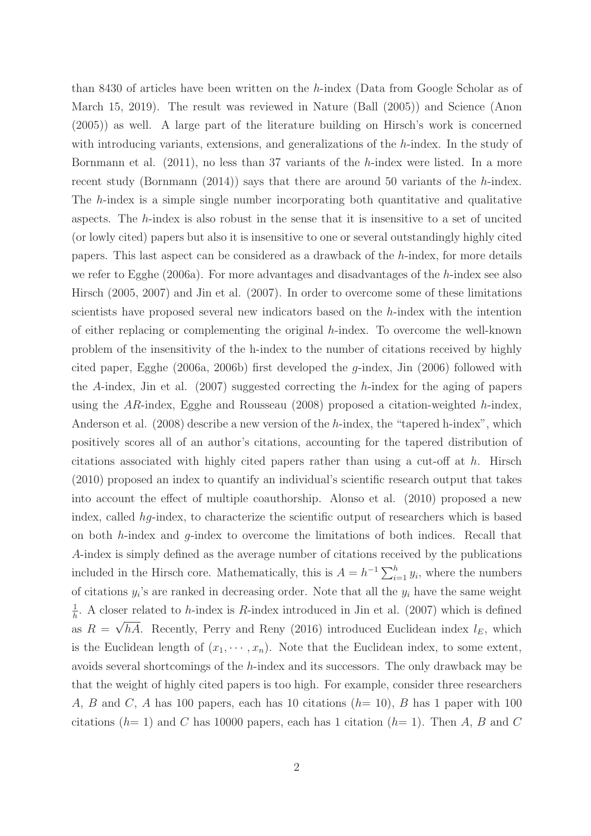than 8430 of articles have been written on the h-index (Data from Google Scholar as of March 15, 2019). The result was reviewed in Nature (Ball (2005)) and Science (Anon (2005)) as well. A large part of the literature building on Hirsch's work is concerned with introducing variants, extensions, and generalizations of the  $h$ -index. In the study of Bornmann et al. (2011), no less than 37 variants of the h-index were listed. In a more recent study (Bornmann  $(2014)$ ) says that there are around 50 variants of the h-index. The h-index is a simple single number incorporating both quantitative and qualitative aspects. The h-index is also robust in the sense that it is insensitive to a set of uncited (or lowly cited) papers but also it is insensitive to one or several outstandingly highly cited papers. This last aspect can be considered as a drawback of the h-index, for more details we refer to Egghe (2006a). For more advantages and disadvantages of the h-index see also Hirsch (2005, 2007) and Jin et al. (2007). In order to overcome some of these limitations scientists have proposed several new indicators based on the h-index with the intention of either replacing or complementing the original h-index. To overcome the well-known problem of the insensitivity of the h-index to the number of citations received by highly cited paper, Egghe (2006a, 2006b) first developed the g-index, Jin (2006) followed with the A-index, Jin et al. (2007) suggested correcting the h-index for the aging of papers using the AR-index, Egghe and Rousseau (2008) proposed a citation-weighted h-index, Anderson et al. (2008) describe a new version of the h-index, the "tapered h-index", which positively scores all of an author's citations, accounting for the tapered distribution of citations associated with highly cited papers rather than using a cut-off at h. Hirsch (2010) proposed an index to quantify an individual's scientific research output that takes into account the effect of multiple coauthorship. Alonso et al. (2010) proposed a new index, called hg-index, to characterize the scientific output of researchers which is based on both  $h$ -index and  $g$ -index to overcome the limitations of both indices. Recall that A-index is simply defined as the average number of citations received by the publications included in the Hirsch core. Mathematically, this is  $A = h^{-1} \sum_{i=1}^{h} y_i$ , where the numbers of citations  $y_i$ 's are ranked in decreasing order. Note that all the  $y_i$  have the same weight 1  $\frac{1}{h}$ . A closer related to *h*-index is *R*-index introduced in Jin et al. (2007) which is defined as  $R = \sqrt{hA}$ . Recently, Perry and Reny (2016) introduced Euclidean index  $l_E$ , which is the Euclidean length of  $(x_1, \dots, x_n)$ . Note that the Euclidean index, to some extent, avoids several shortcomings of the h-index and its successors. The only drawback may be that the weight of highly cited papers is too high. For example, consider three researchers A, B and C, A has 100 papers, each has 10 citations  $(h= 10)$ , B has 1 paper with 100 citations ( $h= 1$ ) and C has 10000 papers, each has 1 citation ( $h= 1$ ). Then A, B and C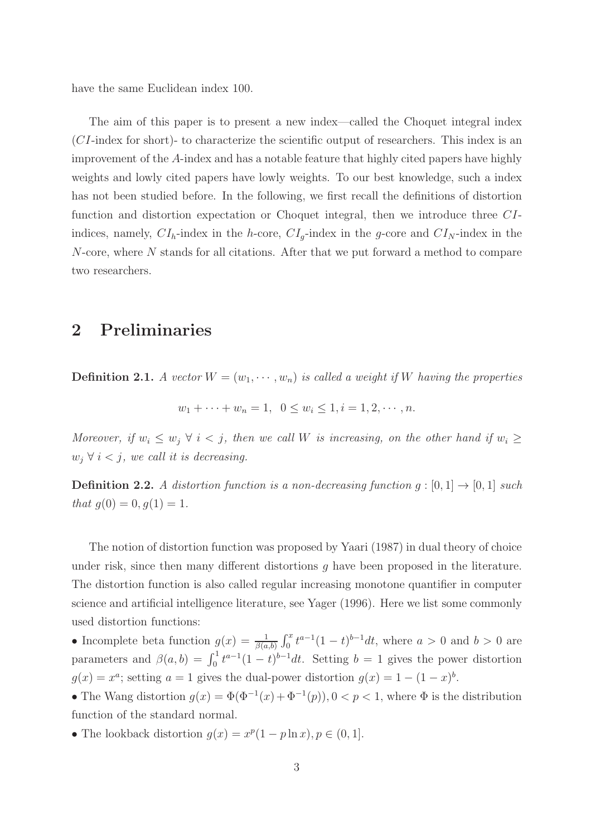have the same Euclidean index 100.

The aim of this paper is to present a new index—called the Choquet integral index (CI-index for short)- to characterize the scientific output of researchers. This index is an improvement of the A-index and has a notable feature that highly cited papers have highly weights and lowly cited papers have lowly weights. To our best knowledge, such a index has not been studied before. In the following, we first recall the definitions of distortion function and distortion expectation or Choquet integral, then we introduce three CIindices, namely,  $CI_h$ -index in the h-core,  $CI_q$ -index in the g-core and  $CI_N$ -index in the  $N$ -core, where  $N$  stands for all citations. After that we put forward a method to compare two researchers.

# 2 Preliminaries

**Definition 2.1.** A vector  $W = (w_1, \dots, w_n)$  is called a weight if W having the properties

$$
w_1 + \cdots + w_n = 1, \ \ 0 \le w_i \le 1, i = 1, 2, \cdots, n.
$$

*Moreover, if*  $w_i \leq w_j \ \forall \ i \leq j$ , then we call W is increasing, on the other hand if  $w_i \geq$  $w_j \forall i \leq j$ , we call it is decreasing.

**Definition 2.2.** A distortion function is a non-decreasing function  $g : [0, 1] \rightarrow [0, 1]$  such *that*  $g(0) = 0, g(1) = 1$ .

The notion of distortion function was proposed by Yaari (1987) in dual theory of choice under risk, since then many different distortions  $q$  have been proposed in the literature. The distortion function is also called regular increasing monotone quantifier in computer science and artificial intelligence literature, see Yager (1996). Here we list some commonly used distortion functions:

• Incomplete beta function  $g(x) = \frac{1}{\beta(a,b)} \int_0^x t^{a-1} (1-t)^{b-1} dt$ , where  $a > 0$  and  $b > 0$  are parameters and  $\beta(a, b) = \int_0^1 t^{a-1} (1-t)^{b-1} dt$ . Setting  $b = 1$  gives the power distortion  $g(x) = x^a$ ; setting  $a = 1$  gives the dual-power distortion  $g(x) = 1 - (1 - x)^b$ .

• The Wang distortion  $g(x) = \Phi(\Phi^{-1}(x) + \Phi^{-1}(p)), 0 < p < 1$ , where  $\Phi$  is the distribution function of the standard normal.

• The lookback distortion  $g(x) = x^p(1 - p \ln x), p \in (0, 1]$ .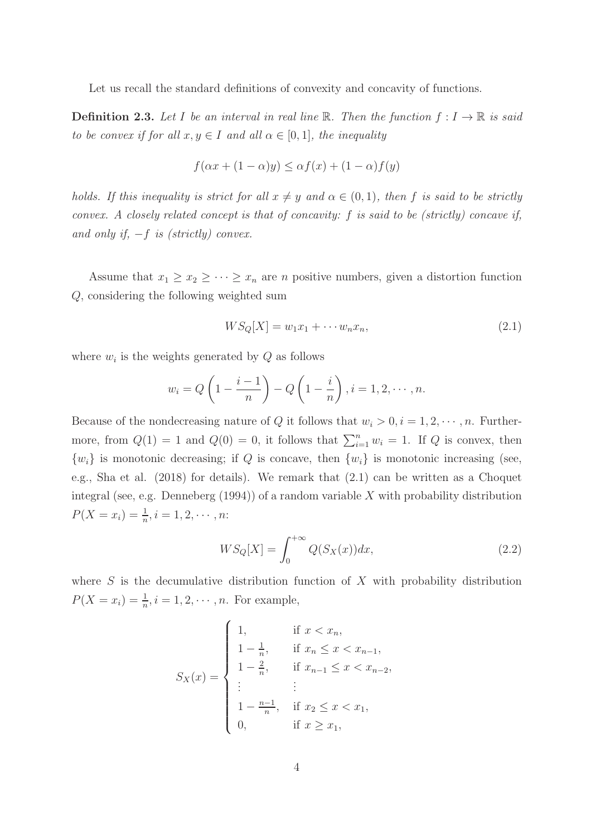Let us recall the standard definitions of convexity and concavity of functions.

**Definition 2.3.** Let I be an interval in real line R. Then the function  $f: I \to \mathbb{R}$  is said *to be convex if for all*  $x, y \in I$  *and all*  $\alpha \in [0, 1]$ *, the inequality* 

$$
f(\alpha x + (1 - \alpha)y) \leq \alpha f(x) + (1 - \alpha)f(y)
$$

*holds. If this inequality is strict for all*  $x \neq y$  *and*  $\alpha \in (0,1)$ *, then* f *is said to be strictly convex. A closely related concept is that of concavity:* f *is said to be (strictly) concave if, and only if,* −f *is (strictly) convex.*

Assume that  $x_1 \ge x_2 \ge \cdots \ge x_n$  are *n* positive numbers, given a distortion function Q, considering the following weighted sum

$$
WS_Q[X] = w_1 x_1 + \cdots w_n x_n, \qquad (2.1)
$$

where  $w_i$  is the weights generated by  $Q$  as follows

$$
w_i = Q\left(1 - \frac{i-1}{n}\right) - Q\left(1 - \frac{i}{n}\right), i = 1, 2, \cdots, n.
$$

Because of the nondecreasing nature of Q it follows that  $w_i > 0, i = 1, 2, \dots, n$ . Furthermore, from  $Q(1) = 1$  and  $Q(0) = 0$ , it follows that  $\sum_{i=1}^{n} w_i = 1$ . If Q is convex, then  $\{w_i\}$  is monotonic decreasing; if Q is concave, then  $\{w_i\}$  is monotonic increasing (see, e.g., Sha et al. (2018) for details). We remark that (2.1) can be written as a Choquet integral (see, e.g. Denneberg  $(1994)$ ) of a random variable X with probability distribution  $P(X = x_i) = \frac{1}{n}, i = 1, 2, \cdots, n$ :

$$
WS_Q[X] = \int_0^{+\infty} Q(S_X(x))dx,
$$
\n(2.2)

where  $S$  is the decumulative distribution function of  $X$  with probability distribution  $P(X = x_i) = \frac{1}{n}, i = 1, 2, \dots, n.$  For example,

$$
S_X(x) = \begin{cases} 1, & \text{if } x < x_n, \\ 1 - \frac{1}{n}, & \text{if } x_n \le x < x_{n-1}, \\ 1 - \frac{2}{n}, & \text{if } x_{n-1} \le x < x_{n-2}, \\ \vdots & \vdots & \vdots \\ 1 - \frac{n-1}{n}, & \text{if } x_2 \le x < x_1, \\ 0, & \text{if } x \ge x_1, \end{cases}
$$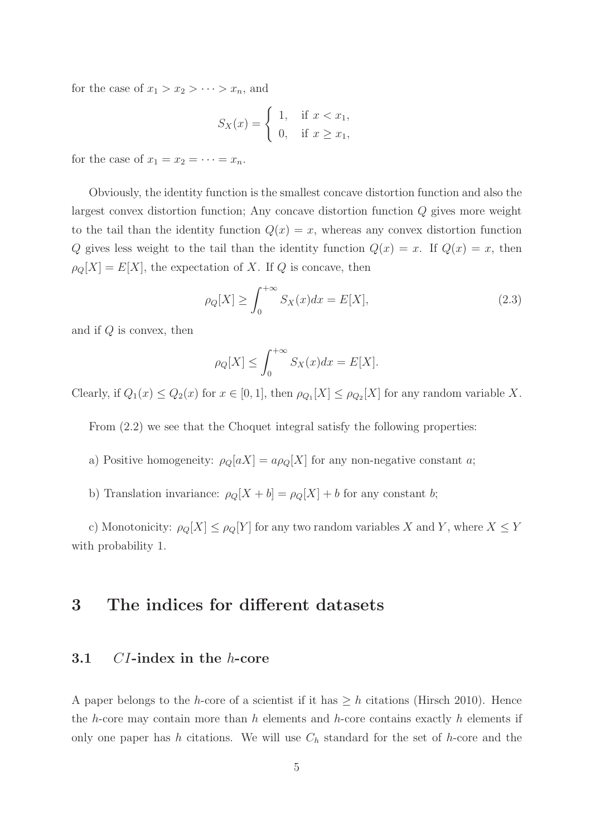for the case of  $x_1 > x_2 > \cdots > x_n$ , and

$$
S_X(x) = \begin{cases} 1, & \text{if } x < x_1, \\ 0, & \text{if } x \ge x_1, \end{cases}
$$

for the case of  $x_1 = x_2 = \cdots = x_n$ .

Obviously, the identity function is the smallest concave distortion function and also the largest convex distortion function; Any concave distortion function Q gives more weight to the tail than the identity function  $Q(x) = x$ , whereas any convex distortion function Q gives less weight to the tail than the identity function  $Q(x) = x$ . If  $Q(x) = x$ , then  $\rho_Q[X] = E[X]$ , the expectation of X. If Q is concave, then

$$
\rho_Q[X] \ge \int_0^{+\infty} S_X(x) dx = E[X],\tag{2.3}
$$

and if  $Q$  is convex, then

$$
\rho_Q[X] \le \int_0^{+\infty} S_X(x) dx = E[X].
$$

Clearly, if  $Q_1(x) \leq Q_2(x)$  for  $x \in [0,1]$ , then  $\rho_{Q_1}[X] \leq \rho_{Q_2}[X]$  for any random variable X.

From  $(2.2)$  we see that the Choquet integral satisfy the following properties:

- a) Positive homogeneity:  $\rho_Q[aX] = a\rho_Q[X]$  for any non-negative constant a;
- b) Translation invariance:  $\rho_Q[X + b] = \rho_Q[X] + b$  for any constant b;

c) Monotonicity:  $\rho_Q[X] \leq \rho_Q[Y]$  for any two random variables X and Y, where  $X \leq Y$ with probability 1.

### 3 The indices for different datasets

#### 3.1 CI-index in the h-core

A paper belongs to the h-core of a scientist if it has  $\geq h$  citations (Hirsch 2010). Hence the h-core may contain more than h elements and h-core contains exactly h elements if only one paper has h citations. We will use  $C_h$  standard for the set of h-core and the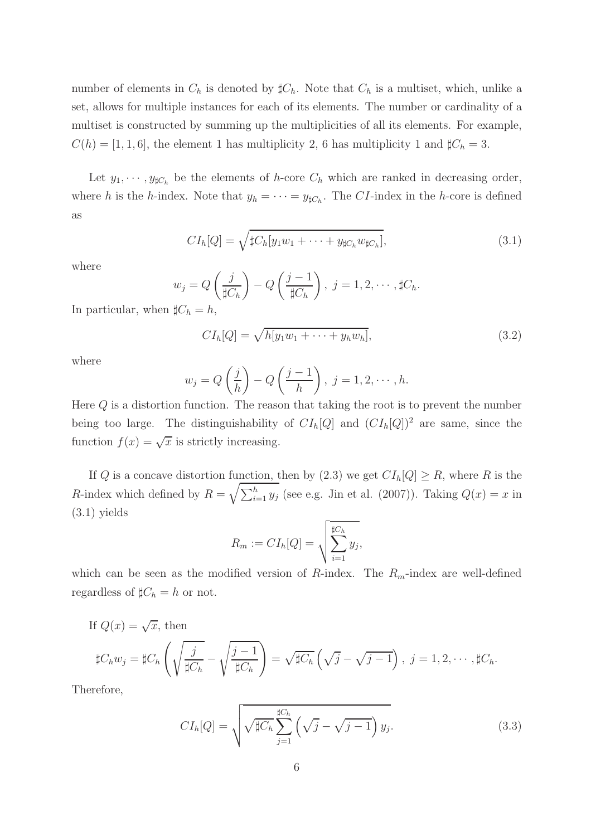number of elements in  $C_h$  is denoted by  $\sharp C_h$ . Note that  $C_h$  is a multiset, which, unlike a set, allows for multiple instances for each of its elements. The number or cardinality of a multiset is constructed by summing up the multiplicities of all its elements. For example,  $C(h) = [1, 1, 6]$ , the element 1 has multiplicity 2, 6 has multiplicity 1 and  $\sharp C_h = 3$ .

Let  $y_1, \dots, y_{\sharp C_h}$  be the elements of h-core  $C_h$  which are ranked in decreasing order, where h is the h-index. Note that  $y_h = \cdots = y_{\sharp C_h}$ . The CI-index in the h-core is defined as

$$
CIh[Q] = \sqrt{\sharp Ch[y_1w_1 + \dots + y_{\sharp C_h}w_{\sharp C_h}]},
$$
\n(3.1)

where

$$
w_j = Q\left(\frac{j}{\sharp C_h}\right) - Q\left(\frac{j-1}{\sharp C_h}\right), \ j = 1, 2, \cdots, \sharp C_h.
$$
  

$$
\sharp C_i - h
$$

In particular, when  $\sharp C_h = h$ ,

$$
CIh[Q] = \sqrt{h[y_1w_1 + \dots + y_hw_h]},
$$
\n(3.2)

where

$$
w_j = Q\left(\frac{j}{h}\right) - Q\left(\frac{j-1}{h}\right), \ j = 1, 2, \cdots, h.
$$

Here  $Q$  is a distortion function. The reason that taking the root is to prevent the number being too large. The distinguishability of  $CI<sub>h</sub>[Q]$  and  $(CI<sub>h</sub>[Q])<sup>2</sup>$  are same, since the function  $f(x) = \sqrt{x}$  is strictly increasing.

If Q is a concave distortion function, then by  $(2.3)$  we get  $CI<sub>h</sub>[Q] \geq R$ , where R is the R-index which defined by  $R = \sqrt{\sum_{i=1}^{h} y_i}$  (see e.g. Jin et al. (2007)). Taking  $Q(x) = x$  in (3.1) yields

$$
R_m := CI_h[Q] = \sqrt{\sum_{i=1}^{\sharp C_h} y_j},
$$

which can be seen as the modified version of  $R$ -index. The  $R_m$ -index are well-defined regardless of  $\sharp C_h = h$  or not.

If 
$$
Q(x) = \sqrt{x}
$$
, then  
\n
$$
\sharp C_h w_j = \sharp C_h \left( \sqrt{\frac{j}{\sharp C_h}} - \sqrt{\frac{j-1}{\sharp C_h}} \right) = \sqrt{\sharp C_h} \left( \sqrt{j} - \sqrt{j-1} \right), j = 1, 2, \cdots, \sharp C_h.
$$

Therefore,

$$
CI_h[Q] = \sqrt{\sqrt{\sharp C_h} \sum_{j=1}^{\sharp C_h} \left(\sqrt{j} - \sqrt{j-1}\right) y_j}.
$$
\n(3.3)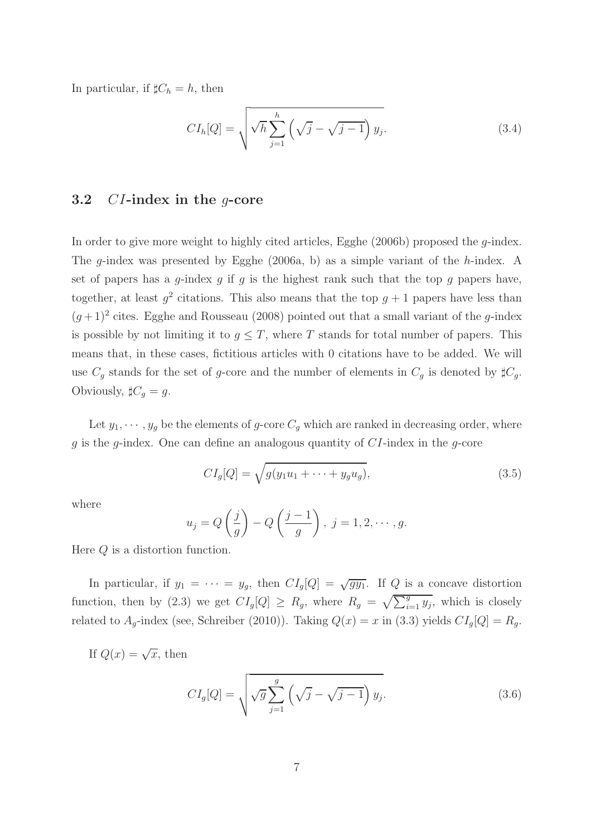In particular, if  $\sharp C_h = h$ , then

$$
CI_{h}[Q] = \sqrt{\sqrt{h} \sum_{j=1}^{h} \left(\sqrt{j} - \sqrt{j-1}\right) y_{j}}.
$$
\n(3.4)

#### 3.2 CI-index in the g-core

In order to give more weight to highly cited articles, Egghe  $(2006b)$  proposed the *q*-index. The g-index was presented by Egghe (2006a, b) as a simple variant of the h-index. A set of papers has a q-index q if q is the highest rank such that the top q papers have, together, at least  $g^2$  citations. This also means that the top  $g+1$  papers have less than  $(g+1)^2$  cites. Egghe and Rousseau (2008) pointed out that a small variant of the g-index is possible by not limiting it to  $g \leq T$ , where T stands for total number of papers. This means that, in these cases, fictitious articles with 0 citations have to be added. We will use  $C_g$  stands for the set of g-core and the number of elements in  $C_g$  is denoted by  $\sharp C_g$ . Obviously,  $\sharp C_g = g$ .

Let  $y_1, \dots, y_g$  be the elements of g-core  $C_g$  which are ranked in decreasing order, where  $g$  is the  $g$ -index. One can define an analogous quantity of  $CI$ -index in the  $g$ -core

$$
CI_g[Q] = \sqrt{g(y_1u_1 + \dots + y_gu_g)},
$$
\n(3.5)

where

$$
u_j = Q\left(\frac{j}{g}\right) - Q\left(\frac{j-1}{g}\right), \ j = 1, 2, \cdots, g.
$$

Here Q is a distortion function.

In particular, if  $y_1 = \cdots = y_g$ , then  $CI_g[Q] = \sqrt{gy_1}$ . If Q is a concave distortion function, then by (2.3) we get  $CI_g[Q] \ge R_g$ , where  $R_g = \sqrt{\sum_{i=1}^g y_i}$ , which is closely related to  $A_g$ -index (see, Schreiber (2010)). Taking  $Q(x) = x$  in (3.3) yields  $CI_g[Q] = R_g$ .

If  $Q(x) = \sqrt{x}$ , then

$$
CI_g[Q] = \sqrt{\sqrt{g} \sum_{j=1}^{g} \left(\sqrt{j} - \sqrt{j-1}\right) y_j}.
$$
\n(3.6)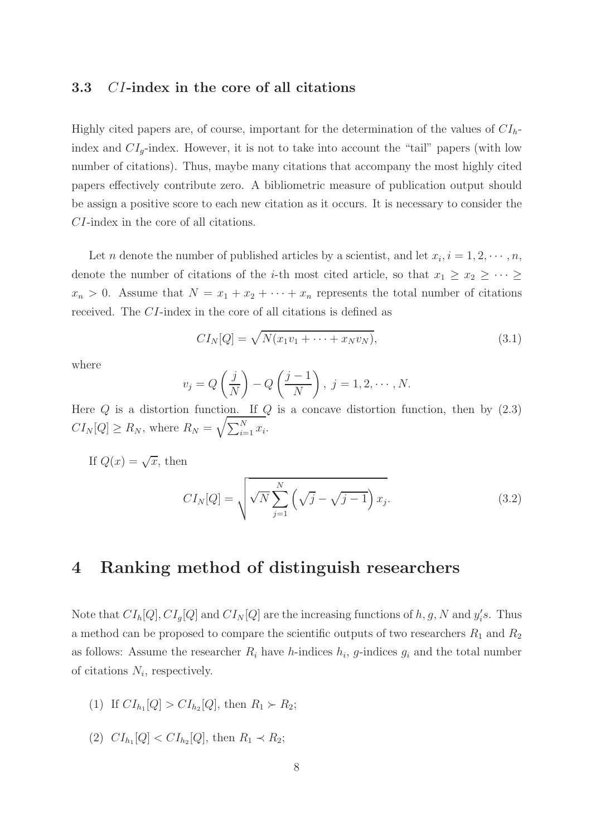#### 3.3 CI-index in the core of all citations

Highly cited papers are, of course, important for the determination of the values of  $CI<sub>h</sub>$ index and  $CI_q$ -index. However, it is not to take into account the "tail" papers (with low number of citations). Thus, maybe many citations that accompany the most highly cited papers effectively contribute zero. A bibliometric measure of publication output should be assign a positive score to each new citation as it occurs. It is necessary to consider the CI-index in the core of all citations.

Let *n* denote the number of published articles by a scientist, and let  $x_i$ ,  $i = 1, 2, \dots, n$ , denote the number of citations of the *i*-th most cited article, so that  $x_1 \geq x_2 \geq \cdots \geq$  $x_n > 0$ . Assume that  $N = x_1 + x_2 + \cdots + x_n$  represents the total number of citations received. The CI-index in the core of all citations is defined as

$$
CI_N[Q] = \sqrt{N(x_1v_1 + \dots + x_Nv_N)},\tag{3.1}
$$

where

$$
v_j = Q\left(\frac{j}{N}\right) - Q\left(\frac{j-1}{N}\right), \ j = 1, 2, \cdots, N.
$$

Here  $Q$  is a distortion function. If  $Q$  is a concave distortion function, then by  $(2.3)$  $CI_N[Q] \ge R_N$ , where  $R_N = \sqrt{\sum_{i=1}^N x_i}$ .

If  $Q(x) = \sqrt{x}$ , then

$$
CI_N[Q] = \sqrt{\sqrt{N} \sum_{j=1}^N \left(\sqrt{j} - \sqrt{j-1}\right) x_j}.
$$
\n(3.2)

## 4 Ranking method of distinguish researchers

Note that  $CI_{h}[Q], CI_{g}[Q]$  and  $CI_{N}[Q]$  are the increasing functions of h, g, N and  $y'_{i}$  $i<sub>s</sub>$ . Thus a method can be proposed to compare the scientific outputs of two researchers  $R_1$  and  $R_2$ as follows: Assume the researcher  $R_i$  have h-indices  $h_i$ , g-indices  $g_i$  and the total number of citations  $N_i$ , respectively.

- (1) If  $CI_{h_1}[Q] > CI_{h_2}[Q]$ , then  $R_1 \succ R_2$ ;
- (2)  $CI_{h_1}[Q] < CI_{h_2}[Q]$ , then  $R_1 \prec R_2$ ;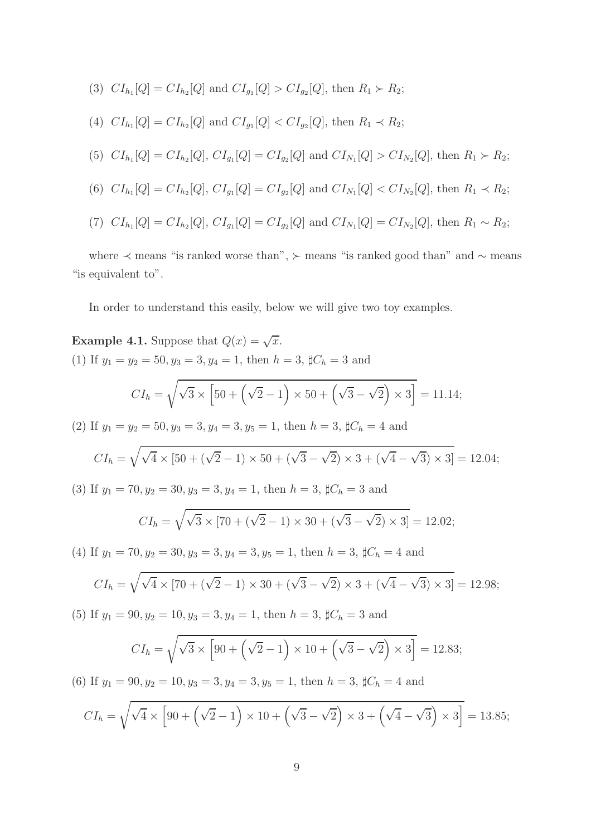- (3)  $CI_{h_1}[Q] = CI_{h_2}[Q]$  and  $CI_{g_1}[Q] > CI_{g_2}[Q]$ , then  $R_1 \succ R_2$ ;
- (4)  $CI_{h_1}[Q] = CI_{h_2}[Q]$  and  $CI_{g_1}[Q] < CI_{g_2}[Q]$ , then  $R_1 \prec R_2$ ;

(5) 
$$
CI_{h_1}[Q] = CI_{h_2}[Q], CI_{g_1}[Q] = CI_{g_2}[Q]
$$
 and  $CI_{N_1}[Q] > CI_{N_2}[Q]$ , then  $R_1 \succ R_2$ ;

- (6)  $CI_{h_1}[Q] = CI_{h_2}[Q]$ ,  $CI_{g_1}[Q] = CI_{g_2}[Q]$  and  $CI_{N_1}[Q] < CI_{N_2}[Q]$ , then  $R_1 \prec R_2$ ;
- (7)  $CI_{h_1}[Q] = CI_{h_2}[Q]$ ,  $CI_{g_1}[Q] = CI_{g_2}[Q]$  and  $CI_{N_1}[Q] = CI_{N_2}[Q]$ , then  $R_1 \sim R_2$ ;

where ≺ means "is ranked worse than", ≻ means "is ranked good than" and ∼ means "is equivalent to".

In order to understand this easily, below we will give two toy examples.

**Example 4.1.** Suppose that  $Q(x) = \sqrt{x}$ . (1) If  $y_1 = y_2 = 50, y_3 = 3, y_4 = 1$ , then  $h = 3$ ,  $\sharp C_h = 3$  and  $CI_h = \sqrt{\sqrt{\sqrt{25} - \frac{1}{2}}\sqrt{\frac{2}{\sqrt{2}}}}$  $\overline{3} \times [50 + (\sqrt{2} - 1) \times 50 + (\sqrt{3} - \sqrt{2}) \times 3] = 11.14;$ (2) If  $y_1 = y_2 = 50, y_3 = 3, y_4 = 3, y_5 = 1$ , then  $h = 3$ ,  $\sharp C_h = 4$  and  $CI_h = \sqrt{\sqrt{4} \times [50 + (\sqrt{2} - 1) \times 50 + (\sqrt{3} - \sqrt{2}) \times 3 + (\sqrt{4} - \sqrt{3}) \times 3]} = 12.04;$ (3) If  $y_1 = 70, y_2 = 30, y_3 = 3, y_4 = 1$ , then  $h = 3$ ,  $\sharp C_h = 3$  and  $CI_h = \sqrt{\sqrt{3} \times [70 + (\sqrt{2} - 1) \times 30 + (\sqrt{3} - \sqrt{2}) \times 3]} = 12.02;$ 

(4) If  $y_1 = 70, y_2 = 30, y_3 = 3, y_4 = 3, y_5 = 1$ , then  $h = 3$ ,  $\sharp C_h = 4$  and

$$
CI_h = \sqrt{\sqrt{4} \times [70 + (\sqrt{2} - 1) \times 30 + (\sqrt{3} - \sqrt{2}) \times 3 + (\sqrt{4} - \sqrt{3}) \times 3]} = 12.98;
$$

(5) If  $y_1 = 90, y_2 = 10, y_3 = 3, y_4 = 1$ , then  $h = 3$ ,  $\sharp C_h = 3$  and

$$
CI_h = \sqrt{\sqrt{3} \times \left[ 90 + \left( \sqrt{2} - 1 \right) \times 10 + \left( \sqrt{3} - \sqrt{2} \right) \times 3 \right]} = 12.83;
$$

(6) If  $y_1 = 90, y_2 = 10, y_3 = 3, y_4 = 3, y_5 = 1$ , then  $h = 3$ ,  $\sharp C_h = 4$  and

$$
CI_h = \sqrt{\sqrt{4} \times \left[90 + \left(\sqrt{2} - 1\right) \times 10 + \left(\sqrt{3} - \sqrt{2}\right) \times 3 + \left(\sqrt{4} - \sqrt{3}\right) \times 3\right]} = 13.85;
$$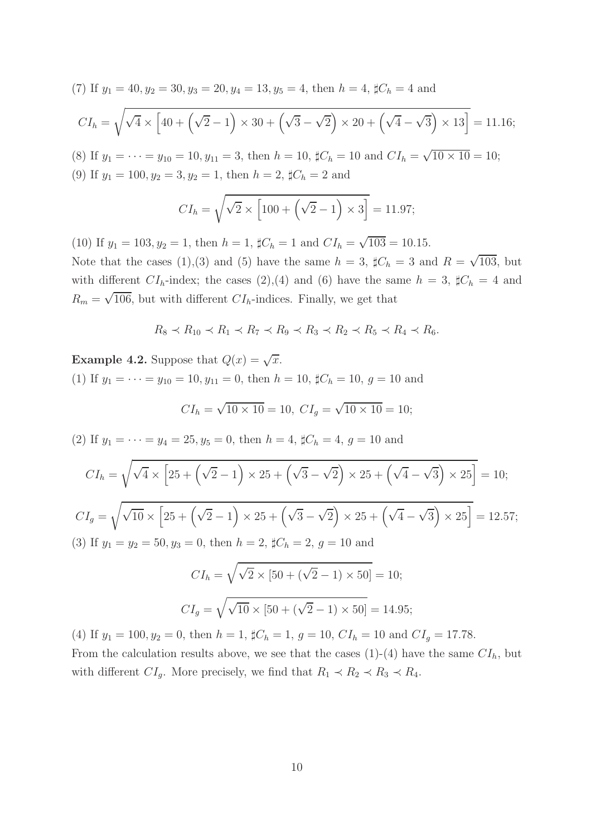(7) If  $y_1 = 40, y_2 = 30, y_3 = 20, y_4 = 13, y_5 = 4$ , then  $h = 4$ ,  $\sharp C_h = 4$  and

$$
CI_h = \sqrt{\sqrt{4} \times \left[40 + \left(\sqrt{2} - 1\right) \times 30 + \left(\sqrt{3} - \sqrt{2}\right) \times 20 + \left(\sqrt{4} - \sqrt{3}\right) \times 13\right]} = 11.16;
$$

(8) If  $y_1 = \cdots = y_{10} = 10, y_{11} = 3$ , then  $h = 10$ ,  $\sharp C_h = 10$  and  $CI_h = \sqrt{10 \times 10} = 10$ ; (9) If  $y_1 = 100, y_2 = 3, y_2 = 1$ , then  $h = 2$ ,  $\sharp C_h = 2$  and

$$
CI_h = \sqrt{\sqrt{2} \times \left[100 + \left(\sqrt{2} - 1\right) \times 3\right]} = 11.97;
$$

(10) If  $y_1 = 103, y_2 = 1$ , then  $h = 1$ ,  $\sharp C_h = 1$  and  $CI_h = \sqrt{103} = 10.15$ . Note that the cases (1),(3) and (5) have the same  $h = 3$ ,  $\sharp C_h = 3$  and  $R = \sqrt{103}$ , but with different  $CI_h$ -index; the cases (2),(4) and (6) have the same  $h = 3$ ,  $\sharp C_h = 4$  and  $R_m = \sqrt{106}$ , but with different  $CI_h$ -indices. Finally, we get that

$$
R_8 \prec R_{10} \prec R_1 \prec R_7 \prec R_9 \prec R_3 \prec R_2 \prec R_5 \prec R_4 \prec R_6.
$$

**Example 4.2.** Suppose that  $Q(x) = \sqrt{x}$ . (1) If  $y_1 = \cdots = y_{10} = 10, y_{11} = 0$ , then  $h = 10$ ,  $\sharp C_h = 10, g = 10$  and

$$
CI_h = \sqrt{10 \times 10} = 10, \ CI_g = \sqrt{10 \times 10} = 10;
$$

(2) If  $y_1 = \cdots = y_4 = 25, y_5 = 0$ , then  $h = 4$ ,  $\sharp C_h = 4, g = 10$  and

$$
CI_h = \sqrt{\sqrt{4} \times \left[25 + \left(\sqrt{2} - 1\right) \times 25 + \left(\sqrt{3} - \sqrt{2}\right) \times 25 + \left(\sqrt{4} - \sqrt{3}\right) \times 25\right]} = 10;
$$
  

$$
CI_g = \sqrt{\sqrt{10} \times \left[25 + \left(\sqrt{2} - 1\right) \times 25 + \left(\sqrt{3} - \sqrt{2}\right) \times 25 + \left(\sqrt{4} - \sqrt{3}\right) \times 25\right]} = 12.57;
$$
  
(3) If  $y_1 = y_2 = 50$ ,  $y_3 = 0$ , then  $h = 2$ ,  $\sharp C_h = 2$ ,  $g = 10$  and  

$$
CI_h = \sqrt{\sqrt{2} \times \left[50 + \left(\sqrt{2} - 1\right) \times 50\right]} = 10;
$$

$$
CI_g = \sqrt{\sqrt{10} \times \left[50 + \left(\sqrt{2} - 1\right) \times 50\right]} = 14.95;
$$

(4) If  $y_1 = 100, y_2 = 0$ , then  $h = 1$ ,  $\sharp C_h = 1$ ,  $g = 10$ ,  $CI_h = 10$  and  $CI_g = 17.78$ . From the calculation results above, we see that the cases  $(1)-(4)$  have the same  $CI<sub>h</sub>$ , but with different  $CI_g$ . More precisely, we find that  $R_1 \prec R_2 \prec R_3 \prec R_4$ .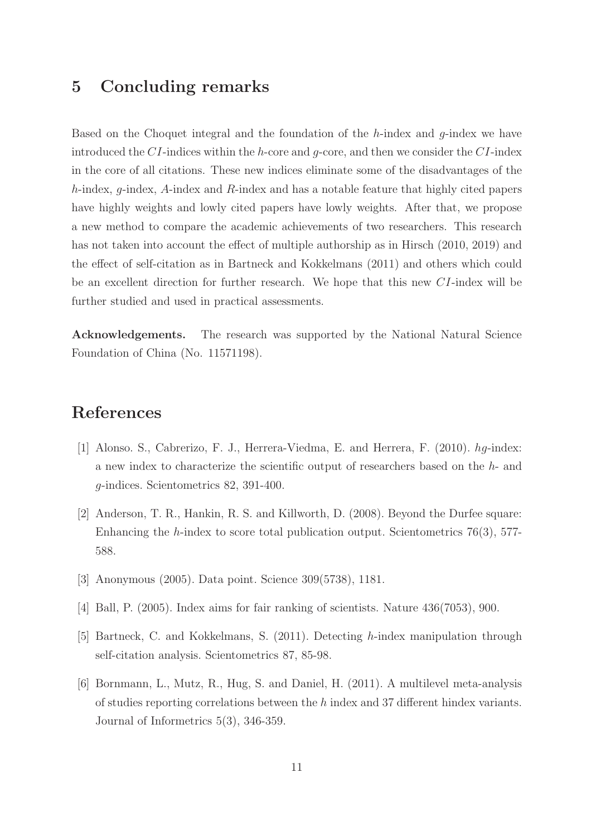# 5 Concluding remarks

Based on the Choquet integral and the foundation of the  $h$ -index and  $q$ -index we have introduced the CI-indices within the h-core and  $q$ -core, and then we consider the CI-index in the core of all citations. These new indices eliminate some of the disadvantages of the h-index, g-index, A-index and R-index and has a notable feature that highly cited papers have highly weights and lowly cited papers have lowly weights. After that, we propose a new method to compare the academic achievements of two researchers. This research has not taken into account the effect of multiple authorship as in Hirsch (2010, 2019) and the effect of self-citation as in Bartneck and Kokkelmans (2011) and others which could be an excellent direction for further research. We hope that this new CI-index will be further studied and used in practical assessments.

Acknowledgements. The research was supported by the National Natural Science Foundation of China (No. 11571198).

# References

- [1] Alonso. S., Cabrerizo, F. J., Herrera-Viedma, E. and Herrera, F. (2010). hg-index: a new index to characterize the scientific output of researchers based on the h- and g-indices. Scientometrics 82, 391-400.
- [2] Anderson, T. R., Hankin, R. S. and Killworth, D. (2008). Beyond the Durfee square: Enhancing the  $h$ -index to score total publication output. Scientometrics 76(3), 577-588.
- [3] Anonymous (2005). Data point. Science 309(5738), 1181.
- [4] Ball, P. (2005). Index aims for fair ranking of scientists. Nature 436(7053), 900.
- [5] Bartneck, C. and Kokkelmans, S. (2011). Detecting h-index manipulation through self-citation analysis. Scientometrics 87, 85-98.
- [6] Bornmann, L., Mutz, R., Hug, S. and Daniel, H. (2011). A multilevel meta-analysis of studies reporting correlations between the h index and 37 different hindex variants. Journal of Informetrics 5(3), 346-359.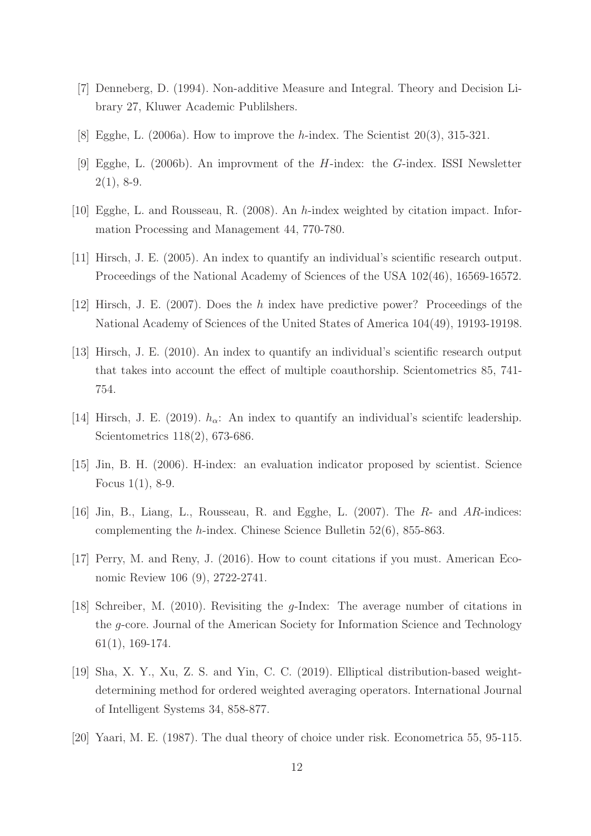- [7] Denneberg, D. (1994). Non-additive Measure and Integral. Theory and Decision Library 27, Kluwer Academic Publilshers.
- [8] Egghe, L.  $(2006a)$ . How to improve the *h*-index. The Scientist  $20(3)$ ,  $315-321$ .
- [9] Egghe, L. (2006b). An improvment of the H-index: the G-index. ISSI Newsletter  $2(1), 8-9.$
- [10] Egghe, L. and Rousseau, R. (2008). An h-index weighted by citation impact. Information Processing and Management 44, 770-780.
- [11] Hirsch, J. E. (2005). An index to quantify an individual's scientific research output. Proceedings of the National Academy of Sciences of the USA 102(46), 16569-16572.
- [12] Hirsch, J. E. (2007). Does the h index have predictive power? Proceedings of the National Academy of Sciences of the United States of America 104(49), 19193-19198.
- [13] Hirsch, J. E. (2010). An index to quantify an individual's scientific research output that takes into account the effect of multiple coauthorship. Scientometrics 85, 741- 754.
- [14] Hirsch, J. E. (2019).  $h_{\alpha}$ : An index to quantify an individual's scientifc leadership. Scientometrics 118(2), 673-686.
- [15] Jin, B. H. (2006). H-index: an evaluation indicator proposed by scientist. Science Focus 1(1), 8-9.
- [16] Jin, B., Liang, L., Rousseau, R. and Egghe, L. (2007). The R- and AR-indices: complementing the h-index. Chinese Science Bulletin 52(6), 855-863.
- [17] Perry, M. and Reny, J. (2016). How to count citations if you must. American Economic Review 106 (9), 2722-2741.
- [18] Schreiber, M. (2010). Revisiting the g-Index: The average number of citations in the g-core. Journal of the American Society for Information Science and Technology 61(1), 169-174.
- [19] Sha, X. Y., Xu, Z. S. and Yin, C. C. (2019). Elliptical distribution-based weightdetermining method for ordered weighted averaging operators. International Journal of Intelligent Systems 34, 858-877.
- [20] Yaari, M. E. (1987). The dual theory of choice under risk. Econometrica 55, 95-115.